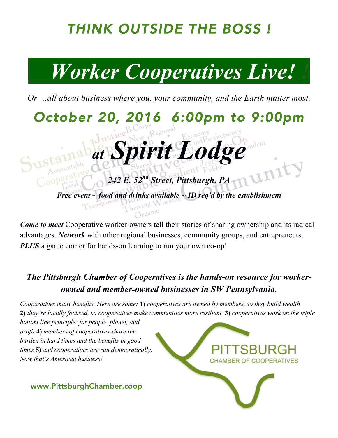### *THINK OUTSIDE THE BOSS !*

## *Worker Cooperatives Live! !*

*Or …all about business where you, your community, and the Earth matter most.*

*October 20, 2016 6:00pm to 9:00pm* 

*at Spirit Lodge*

*Free event ~ food and drinks available ~ ID req'd by the establishment*

*242 E. 52nd Street, Pittsburgh, PA*

*Come to meet* Cooperative worker-owners tell their stories of sharing ownership and its radical advantages. *Network* with other regional businesses, community groups, and entrepreneurs. *PLUS* a game corner for hands-on learning to run your own co-op!

#### *The Pittsburgh Chamber of Cooperatives is the hands-on resource for workerowned and member-owned businesses in SW Pennsylvania.*

*Cooperatives many benefits. Here are some:* **1)** *cooperatives are owned by members, so they build wealth*  **2)** *they're locally focused, so cooperatives make communities more resilient* **3)** *cooperatives work on the triple* 

*bottom line principle: for people, planet, and profit* **4)** *members of cooperatives share the burden in hard times and the benefits in good times* **5)** *and cooperatives are run democratically. Now that's American business!*

CHAMBER OF COOPERATIVES

www.PittsburghChamber.coop